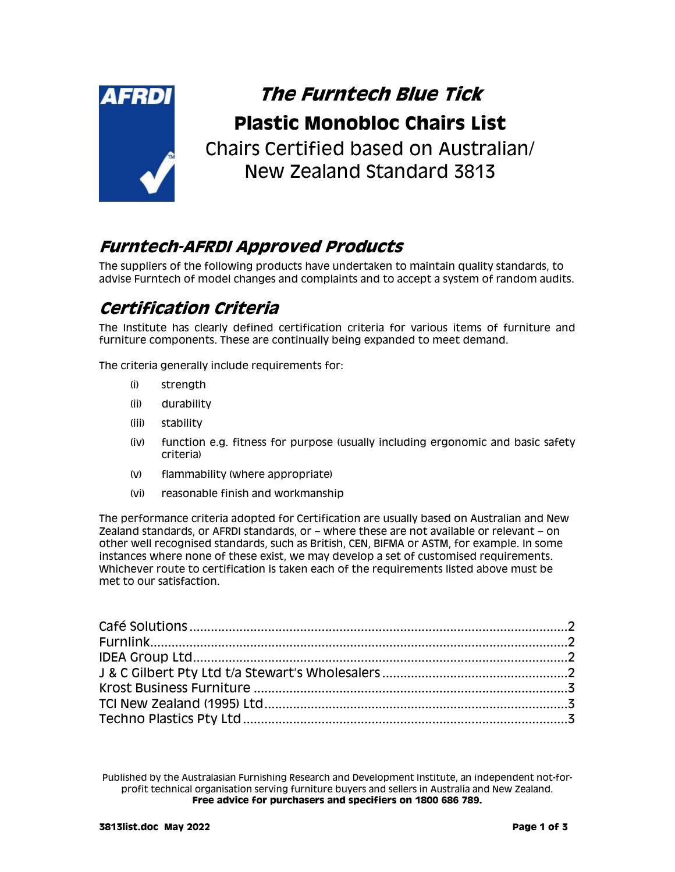

# **The Furntech Blue Tick Plastic Monobloc Chairs List**

Chairs Certified based on Australian/ New Zealand Standard 3813

#### **Furntech-AFRDI Approved Products**

The suppliers of the following products have undertaken to maintain quality standards, to advise Furntech of model changes and complaints and to accept a system of random audits.

### **Certification Criteria**

The Institute has clearly defined certification criteria for various items of furniture and furniture components. These are continually being expanded to meet demand.

The criteria generally include requirements for:

- (i) strength
- (ii) durability
- (iii) stability
- (iv) function e.g. fitness for purpose (usually including ergonomic and basic safety criteria)
- (v) flammability (where appropriate)
- (vi) reasonable finish and workmanship

The performance criteria adopted for Certification are usually based on Australian and New Zealand standards, or AFRDI standards, or – where these are not available or relevant – on other well recognised standards, such as British, CEN, BIFMA or ASTM, for example. In some instances where none of these exist, we may develop a set of customised requirements. Whichever route to certification is taken each of the requirements listed above must be met to our satisfaction.

Published by the Australasian Furnishing Research and Development Institute, an independent not-forprofit technical organisation serving furniture buyers and sellers in Australia and New Zealand. **Free advice for purchasers and specifiers on 1800 686 789.**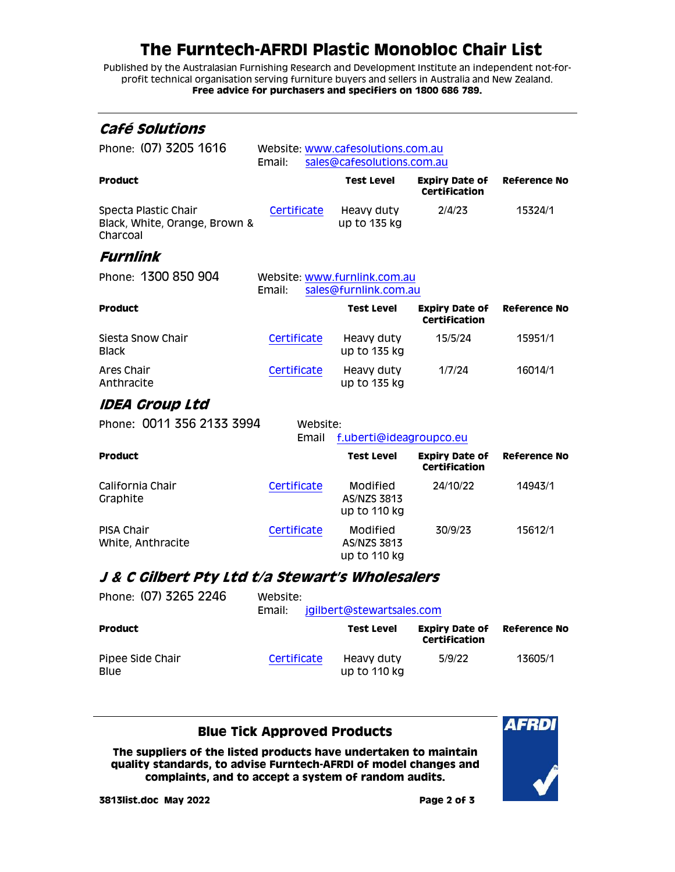# **The Furntech-AFRDI Plastic Monobloc Chair List**

Published by the Australasian Furnishing Research and Development Institute an independent not-forprofit technical organisation serving furniture buyers and sellers in Australia and New Zealand. **Free advice for purchasers and specifiers on 1800 686 789.**

<span id="page-1-2"></span><span id="page-1-1"></span><span id="page-1-0"></span>

| Café Solutions                                                    |                                                                           |                                                       |                                               |                     |
|-------------------------------------------------------------------|---------------------------------------------------------------------------|-------------------------------------------------------|-----------------------------------------------|---------------------|
| Phone: (07) 3205 1616                                             | Website: www.cafesolutions.com.au<br>sales@cafesolutions.com.au<br>Email: |                                                       |                                               |                     |
| <b>Product</b>                                                    |                                                                           | <b>Test Level</b>                                     | <b>Expiry Date of</b><br><b>Certification</b> | <b>Reference No</b> |
| Specta Plastic Chair<br>Black, White, Orange, Brown &<br>Charcoal | Certificate                                                               | Heavy duty<br>up to 135 kg                            | 2/4/23                                        | 15324/1             |
| Furnlink                                                          |                                                                           |                                                       |                                               |                     |
| Phone: 1300 850 904                                               | Email:                                                                    | Website: www.furnlink.com.au<br>sales@furnlink.com.au |                                               |                     |
| <b>Product</b>                                                    |                                                                           | <b>Test Level</b>                                     | <b>Expiry Date of</b><br>Certification        | <b>Reference No</b> |
| Siesta Snow Chair<br><b>Black</b>                                 | Certificate                                                               | Heavy duty<br>up to 135 kg                            | 15/5/24                                       | 15951/1             |
| Ares Chair<br>Anthracite                                          | Certificate                                                               | Heavy duty<br>up to 135 kg                            | 1/7/24                                        | 16014/1             |
| IDEA Group Ltd                                                    |                                                                           |                                                       |                                               |                     |
| Phone: 0011 356 2133 3994                                         | Website:<br>Email                                                         | f.uberti@ideagroupco.eu                               |                                               |                     |
| <b>Product</b>                                                    |                                                                           | Test Level                                            | <b>Expiry Date of</b><br><b>Certification</b> | <b>Reference No</b> |
| California Chair<br>Graphite                                      | Certificate                                                               | Modified<br>AS/NZS 3813<br>up to 110 kg               | 24/10/22                                      | 14943/1             |
| PISA Chair<br>White, Anthracite                                   | Certificate                                                               | Modified<br>AS/NZS 3813<br>up to 110 kg               | 30/9/23                                       | 15612/1             |
| J & C Gilbert Pty Ltd t/a Stewart's Wholesalers                   |                                                                           |                                                       |                                               |                     |
| Phone: (07) 3265 2246                                             | Website:<br>Email:                                                        | jgilbert@stewartsales.com                             |                                               |                     |
| <b>Product</b>                                                    |                                                                           | <b>Test Level</b>                                     | <b>Expiry Date of</b><br><b>Certification</b> | <b>Reference No</b> |
| Pipee Side Chair                                                  | Certificate                                                               | Heavy duty                                            | 5/9/22                                        | 13605/1             |

#### **Blue Tick Approved Products**

up to 110 kg

**The suppliers of the listed products have undertaken to maintain quality standards, to advise Furntech-AFRDI of model changes and complaints, and to accept a system of random audits.**



<span id="page-1-3"></span>Blue